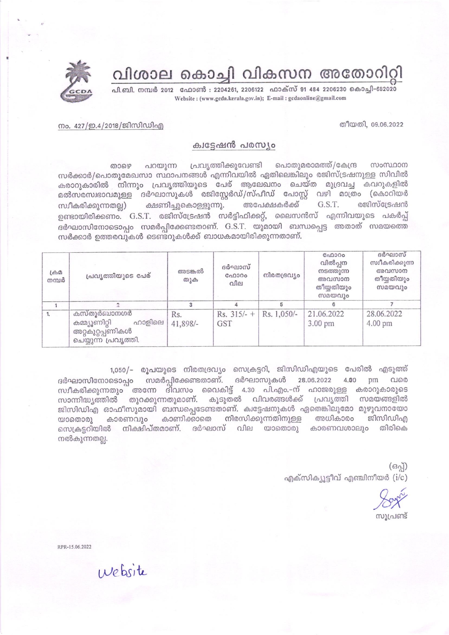വിശാല കൊച്ചി വികസന അതോറിറ്റി

പി.ബി. നമ്പർ 2012 - ഫോൺ : 2204261, 2206122 - ഫാക്സ് 91 484 2206230 കൊച്ചി-682020 Website: (www.gcda.kerala.gov.in); E-mail: gcdaonline@gmail.com

## തീയതി, 09.06.2022

## നം. 427/ഇ.4/2018/ജിസിഡിഎ

## ക്വട്ടേഷൻ പരസ്യം

പ്രവൃത്തിക്കുവേണ്ടി പൊതുമരാമത്ത്/കേന്ദ്ര പറയുന്ന സംസ്ഥാന താഴെ സർക്കാർ/പൊതുമേഖസാ സ്ഥാപനങ്ങൾ എന്നിവയിൽ ഏതിലെങ്കിലും രജിസ്ട്രഷനുള്ള സിവിൽ കരാറുകാരിൽ നിന്നും പ്രവൃത്തിയുടെ പേര് ആലേഖനം ചെയ്ത മുദ്രവച്ച കവറുകളിൽ മൽസരസ്വഭാവമുള്ള ദർഘാസുകൾ രജിസ്റ്റേർഡ്/സ്പീഡ് പോസ്റ്റ് വഴി മാത്രം (കൊറിയർ അപേക്ഷകർക്ക് രജിസ്ട്രേഷൻ ക്ഷണിച്ചുകൊള്ളുന്നു. G.S.T. സ്വീകരിക്കുന്നതല്ല) ഉണ്ടായിരിക്കണം. G.S.T. രജിസ്ട്രേഷൻ സർട്ടിഫിക്കറ്റ്, ലൈസൻസ് എന്നിവയുടെ പകർപ്പ് ദർഘാസിനോടൊപ്പം സമർപ്പിക്കേണ്ടതാണ്. G.S.T. യുമായി ബന്ധപ്പെട്ട അതാത് സമയത്തെ സർക്കാർ ഉത്തരവുകൾ ടെണ്ടറുകൾക്ക് ബാധകമായിരിക്കുന്നതാണ്.

| $L\oplus \Omega$<br>നമ്പർ | പ്രവൃത്തിയുടെ പേര്                                                                 | അടങ്കൽ<br>തുക   | ദർഘാസ്<br>C <sub>0</sub> 000<br>വില     | നിരതദ്രവ്യം | C <sub>0</sub> 0000<br>വിൽപ്പന<br>നടത്തുന്ന<br>അവസാന<br>തീയതിയും<br>സമയവും | ദർഘാസ്<br>സ്വീകരിക്കുന്ന<br>അവസാന<br>തീയ്യതിയും<br>സമയവും |
|---------------------------|------------------------------------------------------------------------------------|-----------------|-----------------------------------------|-------------|----------------------------------------------------------------------------|-----------------------------------------------------------|
|                           |                                                                                    |                 |                                         |             |                                                                            |                                                           |
| 1.                        | കസ്തൂർബാനഗർ<br>കമ്മ്യൂണിറ്റി<br>ഹാളിലെ<br>അറ്റകുറ്റപ്പണികൾ<br>ചെയ്യുന്ന പ്രവൃത്തി. | Rs.<br>41,898/- | Rs. $315/-$ + Rs. 1,050/-<br><b>GST</b> |             | 21.06.2022<br>$3.00$ pm                                                    | 28.06.2022<br>4.00 pm                                     |

1,050/– രൂപയുടെ നിരതദ്രവ്യം സെക്രട്ടറി, ജിസിഡിഎയുടെ പേരിൽ എടുത്ത് ദർഘാസിനോടൊപ്പം സമർപ്പിക്കേണ്ടതാണ്. ദർഘാസുകൾ 28.06.2022 4.00 pm വരെ സ്ഥീകരിക്കുന്നതും അന്നേ ദിവസം വൈകിട്ട് 4.30 പി.എം.–ന് ഹാജരുള്ള കരാറുകാരുടെ സാന്നിദ്ധ്യത്തിൽ തുറക്കുന്നതുമാണ്. കൂടുതൽ വിവരങ്ങൾക്ക് പ്രവ്യത്തി സമയങ്ങളിൽ ജിസിഡിഎ ഓഫീസുമായി ബന്ധപ്പെടേണ്ടതാണ്. ക്വട്ടേഷനുകൾ ഏതെങ്കിലുമോ മുഴുവനായോ കാരണവും കാണിക്കാതെ നിരസിക്കുന്നതിനുള്ള അധികാരം ജിസിഡിഎ  $\omega$ ാതൊരു സെക്രട്ടറിയിൽ നിക്ഷിപ്തമാണ്. ദർഘാസ് വില യാതൊരു കാരണവശാലും തിരികെ നൽകുന്നതല്ല.

> $(630)$ എക്സിക്യൂട്ടീവ് എഞ്ചിനീയർ (i/c)

സുപ്രണ്ട്

RPR-15.06.2022

website